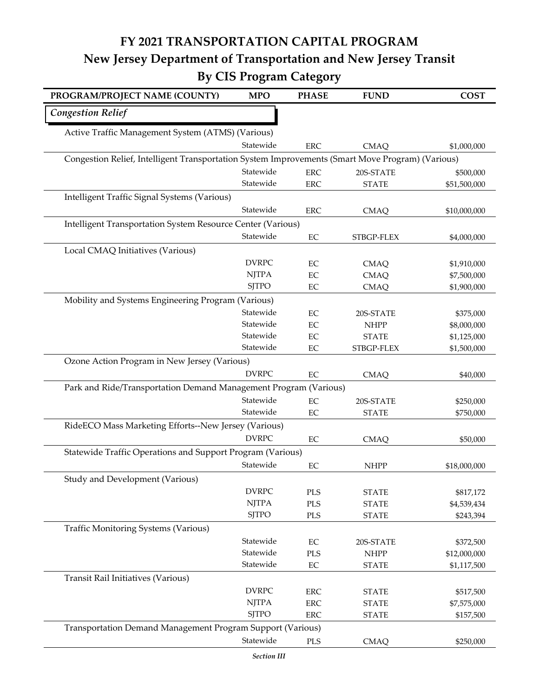## **FY 2021 TRANSPORTATION CAPITAL PROGRAM New Jersey Department of Transportation and New Jersey Transit By CIS Program Category**

| PROGRAM/PROJECT NAME (COUNTY)                                                                    | <b>MPO</b>                   | <b>PHASE</b>             | <b>FUND</b>                  | <b>COST</b>              |  |  |
|--------------------------------------------------------------------------------------------------|------------------------------|--------------------------|------------------------------|--------------------------|--|--|
| <b>Congestion Relief</b>                                                                         |                              |                          |                              |                          |  |  |
| Active Traffic Management System (ATMS) (Various)                                                |                              |                          |                              |                          |  |  |
|                                                                                                  | Statewide                    | <b>ERC</b>               | <b>CMAQ</b>                  | \$1,000,000              |  |  |
| Congestion Relief, Intelligent Transportation System Improvements (Smart Move Program) (Various) |                              |                          |                              |                          |  |  |
|                                                                                                  | Statewide                    | <b>ERC</b>               | 20S-STATE                    | \$500,000                |  |  |
|                                                                                                  | Statewide                    | <b>ERC</b>               | <b>STATE</b>                 | \$51,500,000             |  |  |
| Intelligent Traffic Signal Systems (Various)                                                     |                              |                          |                              |                          |  |  |
|                                                                                                  | Statewide                    | ERC                      | <b>CMAQ</b>                  | \$10,000,000             |  |  |
| Intelligent Transportation System Resource Center (Various)                                      |                              |                          |                              |                          |  |  |
|                                                                                                  | Statewide                    | $\rm EC$                 | STBGP-FLEX                   | \$4,000,000              |  |  |
| Local CMAQ Initiatives (Various)                                                                 |                              |                          |                              |                          |  |  |
|                                                                                                  | <b>DVRPC</b>                 | $\rm EC$                 | <b>CMAQ</b>                  | \$1,910,000              |  |  |
|                                                                                                  | <b>NJTPA</b>                 | $\rm EC$                 | <b>CMAQ</b>                  | \$7,500,000              |  |  |
|                                                                                                  | <b>SJTPO</b>                 | $\rm EC$                 | <b>CMAQ</b>                  | \$1,900,000              |  |  |
| Mobility and Systems Engineering Program (Various)                                               |                              |                          |                              |                          |  |  |
|                                                                                                  | Statewide                    | $\rm EC$                 | 20S-STATE                    | \$375,000                |  |  |
|                                                                                                  | Statewide                    | $\rm EC$                 | <b>NHPP</b>                  | \$8,000,000              |  |  |
|                                                                                                  | Statewide                    | $\rm EC$                 | <b>STATE</b>                 | \$1,125,000              |  |  |
|                                                                                                  | Statewide                    | $\rm EC$                 | STBGP-FLEX                   | \$1,500,000              |  |  |
| Ozone Action Program in New Jersey (Various)                                                     |                              |                          |                              |                          |  |  |
|                                                                                                  | <b>DVRPC</b>                 | $\rm EC$                 | <b>CMAQ</b>                  | \$40,000                 |  |  |
| Park and Ride/Transportation Demand Management Program (Various)                                 |                              |                          |                              |                          |  |  |
|                                                                                                  | Statewide                    | $\rm EC$                 | 20S-STATE                    | \$250,000                |  |  |
|                                                                                                  | Statewide                    | EC                       | <b>STATE</b>                 | \$750,000                |  |  |
| RideECO Mass Marketing Efforts--New Jersey (Various)                                             |                              |                          |                              |                          |  |  |
|                                                                                                  | <b>DVRPC</b>                 | $\rm EC$                 | <b>CMAQ</b>                  | \$50,000                 |  |  |
| Statewide Traffic Operations and Support Program (Various)                                       |                              |                          |                              |                          |  |  |
|                                                                                                  | Statewide                    | $\rm EC$                 | <b>NHPP</b>                  | \$18,000,000             |  |  |
| Study and Development (Various)                                                                  |                              |                          |                              |                          |  |  |
|                                                                                                  | <b>DVRPC</b>                 | PLS                      | <b>STATE</b>                 | \$817,172                |  |  |
|                                                                                                  | <b>NJTPA</b>                 | PLS                      | <b>STATE</b>                 | \$4,539,434              |  |  |
|                                                                                                  | <b>SJTPO</b>                 | PLS                      | <b>STATE</b>                 | \$243,394                |  |  |
| <b>Traffic Monitoring Systems (Various)</b>                                                      |                              |                          |                              |                          |  |  |
|                                                                                                  | Statewide                    | $\rm EC$                 | 20S-STATE                    | \$372,500                |  |  |
|                                                                                                  | Statewide                    | PLS                      | <b>NHPP</b>                  | \$12,000,000             |  |  |
|                                                                                                  | Statewide                    | $\rm EC$                 | <b>STATE</b>                 | \$1,117,500              |  |  |
| Transit Rail Initiatives (Various)                                                               |                              |                          |                              |                          |  |  |
|                                                                                                  | <b>DVRPC</b><br><b>NJTPA</b> | ERC                      | <b>STATE</b>                 | \$517,500                |  |  |
|                                                                                                  | <b>SJTPO</b>                 | <b>ERC</b><br><b>ERC</b> | <b>STATE</b><br><b>STATE</b> | \$7,575,000<br>\$157,500 |  |  |
| Transportation Demand Management Program Support (Various)                                       |                              |                          |                              |                          |  |  |
|                                                                                                  | Statewide                    |                          |                              |                          |  |  |
|                                                                                                  |                              | PLS                      | <b>CMAQ</b>                  | \$250,000                |  |  |